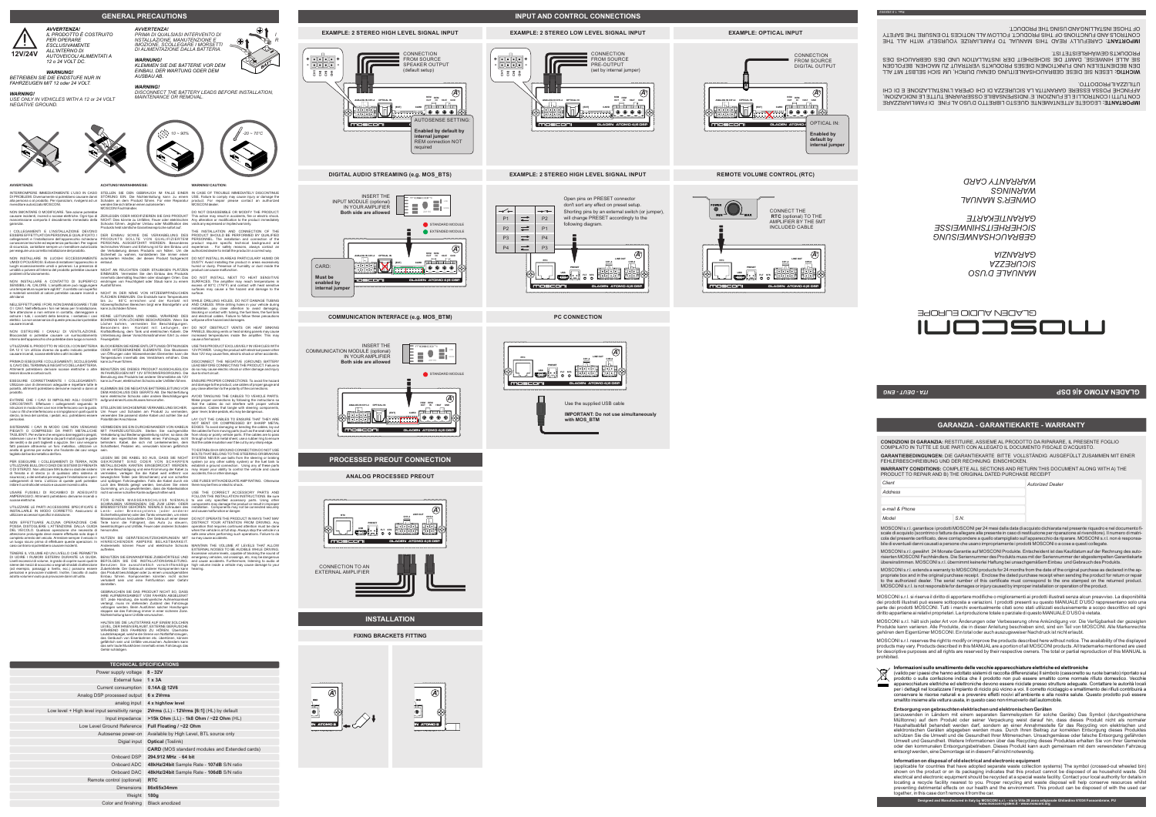**WARRANTY CONDITIONS:** COMPLETE ALL SECTIONS AND RETURN THIS DOCUMENT ALONG WITH A) THE FEHLERBESCHREIBUNG UND DER RECHNUNG EINSCHICKEN.

PRODUCT TO REPAIR AND B) THE ORIGINAL DATED PURCHASE RECEIPT *Autorized Dealer Client*

**GARANTIEBEDINGUNGEN:** DIE GARANTIEKARTE BITTE VOLLSTÄNDIG AUSGEFÜLLT ZUSAMMEN MIT EINER **CONDIZIONI DI GARANZIA:** RESTITUIRE, ASSIEME AL PRODOTTO DA RIPARARE, IL PRESENTE FOGLIO COMPILATO IN TUTTE LE SUE PARTI CON ALLEGATO IL DOCUMENTO FISCALE D'ACQUISTO.

*Address*

*e-mail & Phone*

*Model S.N.* 

*ITA - DEUT - ENG*

Rev. 1.0 2020/02

MOSCONI s.r.l. garantisce i prodotti MOSCONI per 24 mesi dalla data di acquisto dichiarata nel presente riquadro e nel documento fi-<br>scale di acquisto (scontrino o fattura da allegare alla presente in caso di restituzione cola del presente certificato, deve corrispondere a quello stampigliato sull'apparecchio da riparare. MOSCONI s.r.l. non è responsa-<br>bile di eventuali danni causati a persone che usano impropriamente i prodotti MOSCONI o a

*MANUALE D'USO*

*SICUREZZA GARANZIA*

*GEBRAUCHSANWEISUNG SICHERHEITSHINWEISSE GARANTIEKARTE*

*OWNER'S MANUAL WARNINGS*

*WARRANTY CARD*

GLADEN AUDIO EUROPE

**ACHTUNG! WARNHINWEISE:**

NICHT IN DER NÄHE VON HITZEEMPFINDLICHEN FLACHEN EINBAUEN. Die Endstufe kann Temperaturen<br>bis zu 80ˆC erreichen und der Kontakt mit<br>hitzeempfindlichen Bereichen birgt eine Brandgefahr und<br>kannzu§chäden führen.

KEINE LEITUNGEN UND KABEL WAHREND DES<br>BOHRENS VON LÖCHERN BESCHÄDIGEN. Wenn Sie<br>Löcher bohren, vermeiden Sie Beschädigungen.<br>Besonders den Kontakt mit: Leitungen, der<br>Kraftsoffleitung, dem Tank und elektrischen Kabeln. Die

BLOCKIEREN SIE KEINE ENTLUFTUNGS OFFNUNGEN USE THIS PRODUCT EXCLUSIVELY IN VEHICLES WITH<br>ODER HITZESENKENDE ELEMENTE. Das Blockieren 12V POWER. Using the product with electrical power other<br>Yemperature in on Offnungen oder

LEGEN SIE DIE KABEL SO AUS, DASS SIE NICHT GEKRUMMT SIND ODER VON SCHARFEN<br>METALLISCHEN KANTEN EINGERVOUGT WERDEN.<br>Um eine Beschaldgung und eine Krümmung der Kabel zu<br>Vermeiden, weregen Sie die Kabel werd en triemt von<br>beweglichen Tellen (wie Sitzschienen) und von

FUR EINEN MASSEANSCHLUSS NIEMALS<br>SCHRAUBEN VERWENDEN, DIE ZUM LENK- ODER<br>BREMSSYSTEM GEHÖREN. NIEMALS Schrauben des<br>Lenk- oder Bremssystems (Soder anderen einer<br>Masseanschluss herzustellen. Der Gehauch einer dieser<br>Sicherh

NICHT AN FEUCHTEN ODER STAUBIGEN PLÄTZEN EINBAUEN. Vermeiden Sie den Einbau des Produkts innerhalb übermäßig feuchten oder staubigen Orten. Das eindringen von Feuchtigkeit oder Staub kann zu einem Ausfall führen.

NUTZEN SIE GERÄTESCHUTZSICHERUNGEN MIT HINREICHENDER AMPERE BELASTBARKEIT.

auftreten. BENUTZEN SIE EINWANDFREIE ZUBEHORTEILE UND<br>BEFOLGEN SIE DIE INSTALLATIONSANLEITUNG.<br>Benutzen Sie ausschließlich vorschriftsmäßige<br>Zubehörtelie. Der Gebrauch anderer Komponenten kann<br>das Produkt beschädigen oder zu einem Einbau führen. Komponenten könnten nicht sicher verkabelt sein und eine Fehlfunktion oder Gefahr

darstellen.

GEBRAUCHEN SIE DAS PRODUKT NICHT SO, DASS IHRE AUFMERKSAMKEIT VOM FAHREN ABGELENKT IST. Jede Handlung, die kontinuierliche Aufmerksamkei verlangt, muss im stehenden Zustand des Fahrzeugs<br>vollzogen werden. Beim Ausführen solcher Handlungen<br>stoppen sie das Fahrzeug immer in einer sicheren Zone.<br>Nichteinhaltung kann Unfälle verursachen.

HALTEN SIE DIE LAUTSTÄRKE AUF EINEM SOLCHEN LEVEL, DER IHNEN ERLAUBT, EXTERNE GERÄUSCHE<br>WÄHREND DES FAHRENS ZU HÖREN. Überhöhte WAHREND DES FAHRENS ZU HOREN. Uberhöhte<br>Lautstärkepegel, welche die Sirene von Notfallfahrzeugen,<br>das Geräusch von Eisenbahnen etc. übertönen, können<br>gefährlich sein und Unfälle verursachen. Außerdem kann<br>das sehr laute Mu

STELLEN SIE SACHGEMÄßE VERKABELUNG SICHER. Um Feuer und Schaden am Produkt zu vermeiden, verwenden Sie passend starke Kabel und achten Sie auf Polarität der Anschlüsse.

VERMEIDEN SIE EIN DURCHEINANDER VON KABELN<br>MIT FAHRZEUGTEILEN. Stellen Sie sachgemäße<br>Verkabelung laut Bedienungsanleitung sicher, so dass die<br>Kabel den eigentlichen Betieb eines Fahrzeugs nicht<br>behindern. Kabel, die sich

IN CASE OF TROUBLE IMMEDIATELY DISCONTINUE<br>USE. Failure to comply may cause injury or damage the<br>product. For repair please contact an authorized<br>MOSCONI dealer. DO NOT DISASSEMBLE OR MODIFY THE PRODUCT: This action may result in accidents, fire or electric shock. Any alteration or modification to the product immediately voids any expressed or implied warranty.

BENUTZEN SIE DIESES PRODUKT AUSSCHLIEßLICH IN FAHRZEUGEN MIT 12V STROMVERSORGUNG. Die Benutzung des Produkts bei anderer Stromstärke als 12V kann zu Feuer, elektrischen Schocks oder Unfällen führen.

KLEMMEN SIE DIE NEGATIVE BATTERIELEITUNG VOR<br>DEM ANSCHLUSS DES GERÄTS AB. Die Nichterfüllung<br>kann elektrische Schocks oder andere Beschädigungen<br>aufgrund eines Kurzschlusses hervorrufen.

caso contrario si potrebbero causare incidenti. Andererseits können Feuer und elektrische Schocks MAINTAIN THE VOLUME AT LEVELS THAT ALLOW EXTERNAL NOISES TO BE AUDIBLE WHILE DRIVING. Excessive volume levels, capable of blocking the sound of emergency vehicles, rail crossings, etc, may be dangerous and cause accidents. Furthermore, listening to audio at high volume inside a vehicle may cause damage to your hearing. IMPORTANT: CAREFULLY READ THIS MANUAL TO FAMILIARIZE YOURSELF WITH ALL THE CONTROLS AND FUNCTIONS OF THIS PRODUCT. FOLLOW ALL NOTICES TO ENSURE THE SAFETY OF THOSE INSTALLING AND USING THE PRODUCT.

**WARNING! CAUTION:**

ESSERE EFFETTUATI DA PERSONALE QUALIFICATO. I<br>collegamenti e l'installazione dell'apparecchio richiedono<br>conoscenze tecniche ed esperienza particolari. Per ragioni<br>di sicurezza, contattare sempre un rivenditore autorizzato NON INSTALLARE IN LUOGHI ECCESSIVAMENTE UMIDI O POLVEROSI. Evitare di installare l'apparecchio in luoghi eccessivamente umidi o polverosi. La presenza di umidità o polvere all'interno del prodotto potrebbe causare

DO NOT INSTALL NEXT TO HEAT SENSITIVE SURFACES. The amplifier may reach temperatures in excess of 80°C (176°F) and contact with heat sensitive surfaces may cause a fire hazard and damage to the surface.

WHILE DRILLING HOLES, DO NOT DAMAGE TUBING<br>AND CABLES. While drilling holes in your vehicle during<br>installation, pay close attention to avoid damaging,<br>blocking or contact with: tubing, the fuel lines, the fuel tank<br>and el

DO NOT OBSTRUCT VENTS OR HEAT SINKING PANELS. Blocking vents or heat sinking panels may cause increased temperatures inside the amplifier. This may cause a fire hazard.

due to short circuit.

ENSURE PROPER CONNECTIONS. To avoid fire hazard and damage to the product, use cables of proper gauge and pay close attention to the polarity of the connections.

AVOID TANGLING THE CABLES TO VEHICLE PARTS.<br>Make proper connections by following the instructions so<br>that the cables do not interfere with proper vehicle<br>operation. Cables that tangle with steering components,<br>gear lever,

LAY OUT THE CABLES TO ENSURE THAT THEY ARE<br>NOT BENT OR COMPRESSED BY SHARP METAL<br>EDGES. To avoid damaging or bending the cables, lay out<br>the cables far from moving parts (such as the seat rails) and<br>from sharp or pointy ve

DO NOT INSTALL IN AREAS PARTICULARY HUMID OR DUSTY. Avoid installing the product in areas excessively humid or dusty. Presence of humidity or dust inside the product can cause malfunction.

TENERE IL VOLUME AD UN LIVELLO CHE PERMETTA<br>DI UDIRE I RUMORI ESTERNI DURANTE LA GUIDA.<br>Livelli eccessivi di volume, in grado di coprire suoni quali le<br>sirene dei mezzi di soccorso o segnali stradali di attenzione<br>(ad esem ad alto volume in auto può provocare danni all'udito.

USE THIS PRODUCT EXCLUSIVELY IN VEHICLES WITH 12V POWER. Using the product with electrical power other than 12V may cause fires, electric shock or other accidents.

 **Informazioni sullo smaltimento delle vecchie apparecchiature elettriche ed elettroniche** ∨⊐∕

TO ESTABLISH A GROUND CONNECTION DO NOT USE BOLTS THAT BELONG TO THE STEERING OR BRAKING SYSTEM. NEVER use bolts from the steering or braking system (or any other safety system) or the fuel tank to establish a ground connection. Using any of these parts may impair your ability to control the vehicle and cause accidents, fire or other damage.

USE FUSES WITH ADEQUATE AMP RATING. Otherwise there may be fires or electric shock.

USE THE CORRECT ACCESSORY PARTS AND<br>FOLLOW THE INSTALLATION INSTRUCTIONS. Be sure<br>to use only specified accessory parts. Using other<br>components may damage the product or result in improper<br>installation. Components may not

DO NOT OPERATE THE PRODUCT IN WAYS THAT MAY<br>DISTRACT YOUR ATTENTION FROM DRIVING. Any<br>operation that requires continued attention must be done<br>when the vehicle is at full stop. Always stop the vehicle in a<br>safe area when p

 MOSCONI s.r.l. gewährt 24 Monate Garantie auf MOSCONI Produkte. Entscheident ist das Kaufdatum auf der Rechnung des autorisierten MOSCONI Fachhändlers. Die Seriennummer des Produkts muss mit der Seriennummer der abgestempelten Garantiekarte<br>übereinstimmen. MOSCONI s.r.l. übernimmt keinerlei Haftung bei unsachgemäßem Einbau und Gebrauch des

 LESEN SIE DIESE GEBRAUCHSANLEITUNG GENAU DURCH, UM SICH SELBST MIT ALL **WICHTIG:** DEN BEDIENTEILEN UND FUNKTIONEN DIESES PRODUKTS VERTRAUT ZU MACHEN. BEFOLGEN SIE ALLE HINWEISE, DAMIT DIE SICHERHEIT DER INSTALLATION UND DES GEBRAUCHS DES PRODUKTS GEWÄHRLEISTET IST.

 LEGGETE ATTENTAMENTE QUESTO LIBRETTO D'USO AL FINE DI FAMILIARIZZARE **IMPORTANTE:** CON TUTTI I CONTROLLI E LE FUNZIONI. E' INDISPENSABILE OSSERVARNE TUTTE LE INDICAZIONI, AFFINCHÉ POSSA ESSERE GARANTITA LA SICUREZZA DI CHI OPERA L'INSTALLAZIONE E DI CHI UTILIZZA IL PRODOTTO.

**GARANZIA - GARANTIEKARTE - WARRANTY** 

**GLADEN ATOMO 4|6 DSP**

**AVVERTENZE:**

INTERROMPERE IMMEDIATAMENTE L'USO IN CASO DI PROBLEMI. Diversamente si potrebbero causare danni alla persona o al prodotto. Per riparazioni, rivolgersi ad un rivenditore autorizzato MOSCONI.

NON SMONTARE O MODIFICARE. Tale azione potrebbe causare incidenti, incendi o scosse elettriche. Ogni tipo di manomissione comporta il decadimento immediato della garanzia.

I COLLEGAMENTI E L'INSTALLAZIONE DEVONO

problemi di funzionamento. NON INSTALLARE A CONTATTO DI SUPERFICI SENSIBILI AL CALORE. L'amplificatore può raggiungere una temperatura superiore agli 80°, il contatto con superfici e materiali sensibili al calore potrebbe causare incendi o

altri danni

NELL'EFFETTUARE I FORI, NON DANNEGGIARE I TUBI<br>O I CAVI. Nell'effettuare i for nel telaio per l'installazione,<br>fare attenzione a non entrare in contatto, danneggiare o<br>ostruire i tubi, i condotti della benzina, i serbatoio

NON OSTRUIRE I CANALI DI VENTILAZIONE. Bloccandoli si potrebbe causare un surriscaldamento interno dell'apparecchio che potrebbe dare luogo a incendi.

UTILIZZARE IL PRODOTTO IN VEICOLI CON BATTERIA DA 12 V. Un utilizzo diverso da quello indicato potrebbe causare incendi, scosse elettriche o altri incidenti.

PRIMA DI ESEGUIRE I COLLEGAMENTI, SCOLLEGARE IL CAVO DEL TERMINALE NEGATIVO DELLA BATTERIA. Altrimenti potrebbero derivare scosse elettriche o altre lesioni dovute a cortocircuiti.

ESEGUIRE CORRETTAMENTE I COLLEGAMENTI. Utilizzare cavi di dimensioni adeguate e rispettare tutte le polarità, altrimenti potrebbero derivarne incendi o danni al prodotto.

EVITARE CHE I CAVI SI IMPIGLINO AGLI OGGETTI<br>CIRCOSTANTI. Effettuare i collegamenti seguendo le<br>istruzioni in modo che i cavi non interferiscano con la guida.<br>I cavi o i fili che interferiscono o si impigliano in parti qua

SISTEMARE I CAVI IN MODO CHE NON VENGANO<br>PIEGATI O COMPRESSI DA PARTI METALLICHE<br>TAGLIENTI. Per evitare che vengano danneggiati o piegati,<br>sistemare i cavi e i filliontano da parti mobili (quali le guide<br>dei sedili) o da p

PER ESEGUIRE I COLLEGAMENTI DI TERRA, NON<br>UTILIZZARE BULLONI O DADI DEI SISTEMI DI FRENATA<br>O DI STERZO. Non utilizzare MAI bulloni o dadi dei sistemi<br>di frenata e di sterzo (o di qualsiasi altro sistema di<br>sicurezza), o de

USARE FUSIBILI DI RICAMBIO DI ADEGUATO AMPERAGGIO. Altrimenti potrebbero derivarne incendi o scosse elettriche.

UTILIZZARE LE PARTI ACCESSORIE SPECIFICATE E INSTALLARLE IN MODO CORRETTO. Assicurarsi di utilizzare accessori specifici in dotazione.

NOM EFFETTUARE ALCUNA OPERAZIONE CHE<br>POSSA DISTOGLERE L'ATTENZIONE DALLA GUIDA<br>DEL VEICOLO. Qualsiasi operazione che necessita di<br>attenzione prolungata deve essere effettuata solo dopo il<br>completo arresto del veicolo. Arre

(valido per i paesi che hanno adottato sistemi di raccolta differenziata) Il simbolo (cassonetto su ruote barrato) riportato sul prodotto o sulla confezione indica che il prodotto non può essere smaltito come normale rifiuto domestico. Vecchie apparecchiature elettriche ed elettroniche devono essere riciclate presso strutture adeguate. Contattare le autorità locali<br>per i dettagli nel localizzare l'impianto di riciclo più vicino a voi. Il corretto riciclaggio e s conservare le risorse naturali e a prevenire effetti nocivi all'ambiente e alla nostra salute. Questo prodotto può essere

(applicable for countries that have adopted separate waste collection systems) The symbol (crossed-out wheeled bin) shown on the product or on its packaging indicates that this product cannot be disposed of as household waste. Old electrical and electronic equipment should be recycled at a special waste facility. Contact your local authority for details in locating a recycle facility nearest to you. Proper recycling and waste disposal will help conserve resources whilst<br>preventing detrimental effects on our health and the environment. This product can be disposed of with the together, in this case don't remove it from the car.

MOSCONI s.r.l. si riserva il diritto di apportare modifiche o miglioramenti ai prodotti illustrati senza alcun preavviso. La disponibilità dei prodotti illustrati può essere sottoposta a variazioni. I prodotti presenti su questo MANUALE D'USO rappresentano solo una<br>parte dei prodotti MOSCONI. Tutti i marchi eventualmente citati sono stati utilizzati esclusiva diritto appartiene ai relativi proprietari. La riproduzione totale o parziale di questo MANUALE D'USO è vietata.

smaltito insieme alla vettura usata, in questo caso non rimuoverlo dall'automobile. (anzuwenden in Ländern mit einem separaten Sammelsystem für solche Geräte) Das Symbol (durchgestrichene **Entsorgung von gebrauchten elektrischen und elektronischen Geräten**

Mülltonne) auf dem Produkt oder seiner Verpackung weist darauf hin, dass dieses Produkt nicht als normaler Haushaltsabfall behandelt werden darf, sondern an einer Annahmestelle für das Recycling von elektrischen und elektronischen Geräten abgegeben werden muss. Durch Ihren Beitrag zur korrekten Entsorgung dieses Produktes schützen Sie die Umwelt und die Gesundheit Ihrer Mitmenschen. Unsachgemässe oder falsche Entsorgung gefährden<br>Umwelt und Gesundheit. Weitere Informationen über das Recycling dieses Produktes erhalten Sie von Ihrer Gemeinde oder den kommunalen Entsorgungsbetrieben. Dieses Produkt kann auch gemeinsam mit dem verwendeten Fahrzeug entsorgt werden, eine Demontage ist in diesem Fall nicht notwendig.

**Information on disposal of old electrical and electronic equipment**

MOSCONI s.r.l. hält sich jeder Art von Änderungen oder Verbesserung ohne Ankündigung vor. Die Verfügbarkeit der gezeigten Produkte kann variieren. Alle Produkte, die in dieser Anleitung beschieben sind, sind ein Teil von MOSCONI. Alle Markenrechte gehören dem Eigentümer MOSCONI. Ein total oder auch auszugsweiser Nachdruck ist nicht erlaubt.

MOSCONI s.r.l. reserves the right to modify or improve the products described here without notice. The availability of the displayed products may vary. Products described in this MANUAL are a portion of all MOSCONI products. All trademarks mentioned are used for descriptive purposes and all rights are reserved by their respective owners. The total or partial reproduction of this MANUAL is prohibited.

# **Designed and Manufactured in Italy by MOSCONI s.r.l. - via la Villa 28 zona artigianale Ghilardino 61034 Fossombrone, PU www.mosconi-system.it - www.mosconi.org**

MOSCONI s.r.l. extends a warranty to MOSCONI products for 24 months from the date of the original purchase as declared in the ap propriate box and in the original purchase receipt. Enclose the dated purchase receipt when sending the product for return or repair<br>to the authorized dealer. The serial number of this certificate must correspo MOSCONI s.r.l. is not responsible for damages or injury caused by improper installation or operation of the product.

| <b>TECHNICAL SPECIFICATIONS</b>                |                                                       |  |  |  |  |  |  |  |  |  |
|------------------------------------------------|-------------------------------------------------------|--|--|--|--|--|--|--|--|--|
| Power supply voltage 8 - 32V                   |                                                       |  |  |  |  |  |  |  |  |  |
| External fuse 1 x 3A                           |                                                       |  |  |  |  |  |  |  |  |  |
| Current consumption                            | 0.14A @ 12V6                                          |  |  |  |  |  |  |  |  |  |
| Analog DSP processed output                    | 6 x 2Vrms                                             |  |  |  |  |  |  |  |  |  |
| analog input                                   | 4 x high/low level                                    |  |  |  |  |  |  |  |  |  |
| Low level + High level input sensitivity range | 2Vrms $(LL)$ - 12Vrms $[6:1]$ (HL) by default         |  |  |  |  |  |  |  |  |  |
| Input impedance                                | >15k Ohm (LL) - 1k8 Ohm / $\sim$ 22 Ohm (HL)          |  |  |  |  |  |  |  |  |  |
| Low Level Ground Reference                     | Full Floating / ~22 Ohm                               |  |  |  |  |  |  |  |  |  |
| Autosense power-on                             | Available by High Level, BTL source only              |  |  |  |  |  |  |  |  |  |
| Digial input                                   | <b>Optical (Toslink)</b>                              |  |  |  |  |  |  |  |  |  |
|                                                | <b>CARD</b> (MOS standard modules and Extended cards) |  |  |  |  |  |  |  |  |  |
| Onboard DSP                                    | 294.912 MHz - 64 bit                                  |  |  |  |  |  |  |  |  |  |
| Onboard ADC                                    | 48kHz/24bit Sample Rate - 107dB S/N ratio             |  |  |  |  |  |  |  |  |  |
| Onboard DAC                                    | 48kHz/24bit Sample Rate - 106dB S/N ratio             |  |  |  |  |  |  |  |  |  |
| Remote control (optional)                      | <b>RTC</b>                                            |  |  |  |  |  |  |  |  |  |
| <b>Dimensions</b>                              | 86x65x34mm                                            |  |  |  |  |  |  |  |  |  |
| Weight                                         | 180q                                                  |  |  |  |  |  |  |  |  |  |
|                                                |                                                       |  |  |  |  |  |  |  |  |  |

Color and finishing Black anodized

*10 ~ 90% -20 ~ 70°C*

**PRIMA DI QUALSIASI INTERVENTO DI** *I***<br>NSTALLAZIONE, MANUTENZIONE E INORSETTI QUALI INTERVENTO DI INTERVENTO DI INTERVENTO DI INTERVENTO DI INTERVENT<br>IMOZIONE, SCOLLEGARE I MORSETTI QUALI INTERVENTO DI INTERVENTO DI INTERVE** 

*AVVERTENZA!*

*WARNUNG!*

*DI ALIMENTAZIONE DALLA BATTERIA.*

*KLEMMEN SIE DIE BATTERIE VOR DEM EINBAU, DER WARTUNG ODER DEM* 

STELLEN SIE DEN GEBRAUCH IM FALLE EINER<br>STÖRUNG EIN. Die Nichteinhaltung kann zu einem<br>Schaden an dem Produkt führen. Für eine Reparatur<br>wenden Sie sich bitte an einen autorisierten<br>MOSCONI Fachhändler.

DER EINBAU SOWIE DIE VERKABELUNG DES<br>PRODUKTS SOLLTE VON QUALIFIZIERTEM<br>PERSONAL AUSGEFÜHRT WERDEN. Besonderes<br>technisches Wissen und Efrahrung ist für den Einbau und<br>die Verkabelung dieses Produkts von Nöten. Um die<br>Siche

*AUSBAU AB. WARNING!*

*DISCONNECT THE BATTERY LEADS BEFORE INSTALLATION,* 

ZERLEGEN ODER MODIFIZIEREN SIE DAS PRODUKT This action may result in accidents, fire or electric shock.<br>NICHT: Dies könnte zu Unfällen, Feuer oder elektrischen Any alteration or modification to the product immediately<br>Sc PRODUCT SHOULD BE PERFORMED BY QUALIFIED<br>PERSONNEL. The installation and connection of the<br>product require specific technical background and<br>experience... For safety reasons, always contact an<br>authorized dealer to install

*MAINTENANCE OR REMOVAL.*

### *BETREIBEN SIE DIE ENDSTUFE NUR IN WARNUNG!*

*FAHRZEUGEN MIT 12 oder 24 VOLT.*

#### *WARNING!*

*USE ONLY IN VEHICLES WITH A 12 or 24 VOLT NEGATIVE GROUND.*



**EXAMPLE: 2 STEREO LOW LEVEL SIGNAL INPUT**

**INPUT AND CONTROL CONNECTIONS**

**EXAMPLE: 2 STEREO HIGH LEVEL SIGNAL INPUT**

**FIXING BRACKETS FITTING**



### **INSTALLATION**



**internal jumper** REM connection NOT

required

**EXAMPLE: OPTICAL INPUT**

*A*

**REM IN +BAT GND**



*IL PRODOTTO È COSTRUITO PER OPERARE ESCLUSIVAMENTE ALL'INTERNO DI AUTOVEICOLI ALIMENTATI A 12 o 24 VOLT DC. AVVERTENZA!* **12V/24V**

**DIGITAL AUDIO STREAMING (e.g. MOS\_BTS) EXAMPLE: 2 STEREO HIGH LEVEL SIGNAL INPUT**



CONNECT THE  **RTC** (optional) TO THE AMPLIFIER BY THE 5MT INCLUDED CABLE









**COMMUNICATION INTERFACE (e.g. MOS\_BTM)** 

**REMOTE VOLUME CONTROL (RTC)**

**PC CONNECTION**



*A*

**RTC**

moscom

**USB PRESET**

**FLT STS**

**LINE OUT CH1-4 CH5-6**

GLADEN ATOMO 4|6 DSP

# **PROCESSED PREOUT CONNECTION**



**ANALOG PROCESSED PREOUT**